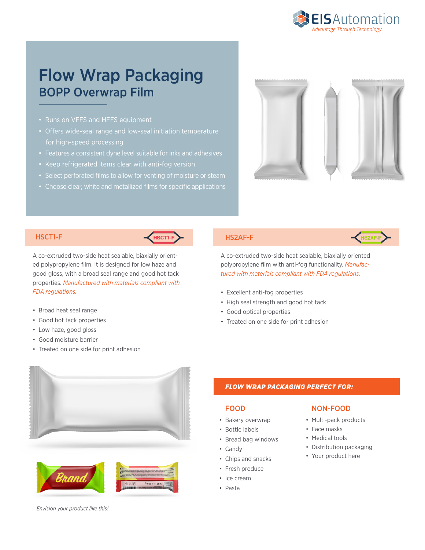

# Flow Wrap Packaging BOPP Overwrap Film

- Runs on VFFS and HFFS equipment
- Offers wide-seal range and low-seal initiation temperature for high-speed processing
- Features a consistent dyne level suitable for inks and adhesives
- Keep refrigerated items clear with anti-fog version
- 
- Choose clear, white and metallized films for specific applications





A co-extruded two-side heat sealable, biaxially oriented polypropylene film. It is designed for low haze and good gloss, with a broad seal range and good hot tack properties. *Manufactured with materials compliant with FDA regulations.*

### • Broad heat seal range

- Good hot tack properties
- Low haze, good gloss
- Good moisture barrier
- Treated on one side for print adhesion



A co-extruded two-side heat sealable, biaxially oriented polypropylene film with anti-fog functionality. *Manufactured with materials compliant with FDA regulations.*

- Excellent anti-fog properties
- High seal strength and good hot tack
- Good optical properties
- Treated on one side for print adhesion







## *FLOW WRAP PACKAGING PERFECT FOR:*

### FOOD

- Bakery overwrap
- Bottle labels
- Bread bag windows
- Candy
- Chips and snacks
- Fresh produce
- Ice cream
- Pasta

### NON-FOOD

- Multi-pack products
- Face masks
- Medical tools
- Distribution packaging
- Your product here

*Envision your product like this!*